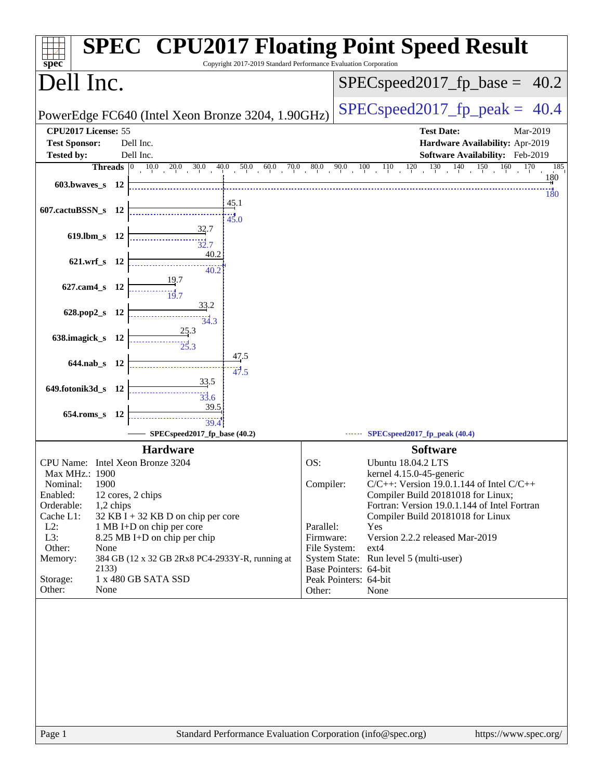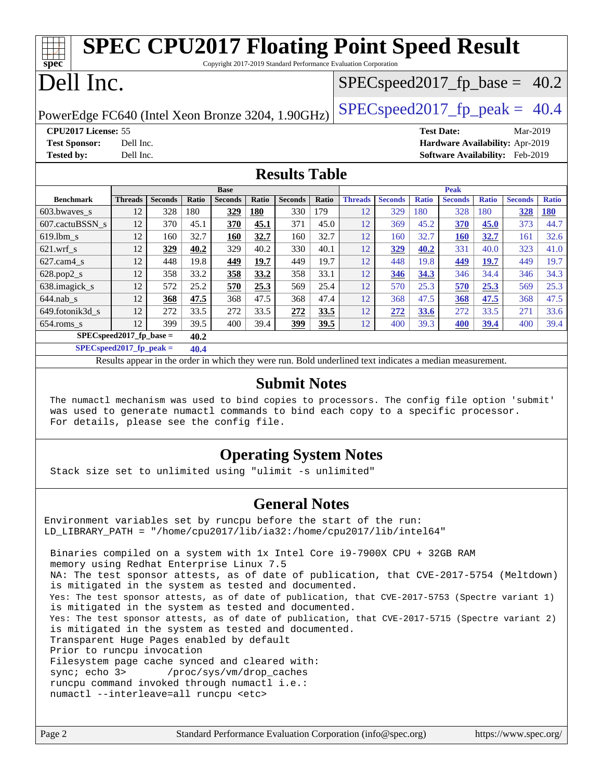| <b>SPEC CPU2017 Floating Point Speed Result</b><br>spec<br>Copyright 2017-2019 Standard Performance Evaluation Corporation |                                                      |                       |                     |                       |              |                       |              |                                   |                       |                     |                       |                     |                                 |                            |
|----------------------------------------------------------------------------------------------------------------------------|------------------------------------------------------|-----------------------|---------------------|-----------------------|--------------|-----------------------|--------------|-----------------------------------|-----------------------|---------------------|-----------------------|---------------------|---------------------------------|----------------------------|
| Dell Inc.                                                                                                                  |                                                      |                       |                     |                       |              |                       |              | $SPEC speed2017_f p\_base = 40.2$ |                       |                     |                       |                     |                                 |                            |
| $SPEC speed2017_fp_peak = 40.4$<br>PowerEdge FC640 (Intel Xeon Bronze 3204, 1.90GHz)                                       |                                                      |                       |                     |                       |              |                       |              |                                   |                       |                     |                       |                     |                                 |                            |
|                                                                                                                            | CPU2017 License: 55<br><b>Test Date:</b><br>Mar-2019 |                       |                     |                       |              |                       |              |                                   |                       |                     |                       |                     |                                 |                            |
| <b>Test Sponsor:</b>                                                                                                       | Dell Inc.<br>Hardware Availability: Apr-2019         |                       |                     |                       |              |                       |              |                                   |                       |                     |                       |                     |                                 |                            |
| <b>Tested by:</b>                                                                                                          | Dell Inc.                                            |                       |                     |                       |              |                       |              |                                   |                       |                     |                       |                     | Software Availability: Feb-2019 |                            |
| <b>Results Table</b>                                                                                                       |                                                      |                       |                     |                       |              |                       |              |                                   |                       |                     |                       |                     |                                 |                            |
| <b>Benchmark</b>                                                                                                           |                                                      |                       |                     | <b>Base</b>           |              |                       |              |                                   |                       |                     | Peak                  |                     |                                 |                            |
|                                                                                                                            | <b>Threads</b><br>12                                 | <b>Seconds</b><br>328 | <b>Ratio</b><br>180 | <b>Seconds</b><br>329 | Ratio<br>180 | <b>Seconds</b><br>330 | Ratio<br>179 | <b>Threads</b><br>12              | <b>Seconds</b><br>329 | <b>Ratio</b><br>180 | <b>Seconds</b><br>328 | <b>Ratio</b><br>180 | <b>Seconds</b>                  | <b>Ratio</b><br><b>180</b> |
| 603.bwaves_s                                                                                                               | 12                                                   | 370                   | 45.1                | 370                   | 45.1         | 371                   | 45.0         | 12                                | 369                   | 45.2                |                       | 45.0                | 328<br>373                      | 44.7                       |
| 607.cactuBSSN_s                                                                                                            | 12                                                   |                       | 32.7                |                       |              |                       | 32.7         | 12                                |                       |                     | 370                   |                     |                                 |                            |
| 619.1bm s                                                                                                                  |                                                      | 160                   |                     | 160                   | 32.7         | 160                   |              |                                   | 160                   | 32.7                | <b>160</b>            | 32.7                | 161                             | 32.6                       |
| $621$ .wrf s                                                                                                               | 12                                                   | 329                   | 40.2                | 329                   | 40.2         | 330                   | 40.1         | 12                                | 329                   | 40.2                | 331                   | 40.0                | 323                             | 41.0                       |
| $627$ .cam $4$ s                                                                                                           | 12                                                   | 448                   | 19.8                | 449                   | 19.7         | 449                   | 19.7         | 12                                | 448                   | 19.8                | 449                   | 19.7                | 449                             | 19.7                       |
| 628.pop2_s                                                                                                                 | 12                                                   | 358                   | 33.2                | 358                   | 33.2         | 358                   | 33.1         | 12                                | 346                   | 34.3                | 346                   | 34.4                | 346                             | 34.3                       |
| 638.imagick_s                                                                                                              | 12                                                   | 572                   | 25.2                | 570                   | 25.3         | 569                   | 25.4         | 12                                | 570                   | 25.3                | 570                   | 25.3                | 569                             | 25.3                       |
| $644$ .nab s                                                                                                               | 12                                                   | 368                   | 47.5                | 368                   | 47.5         | 368                   | 47.4         | 12                                | 368                   | 47.5                | 368                   | 47.5                | 368                             | 47.5                       |
| 649.fotonik3d s                                                                                                            | 12                                                   | 272                   | 33.5                | 272                   | 33.5         | 272                   | 33.5         | 12                                | 272                   | 33.6                | 272                   | 33.5                | 271                             | 33.6                       |
| 654.roms_s                                                                                                                 | 12                                                   | 399                   | 39.5                | 400                   | 39.4         | 399                   | 39.5         | 12                                | 400                   | 39.3                | 400                   | 39.4                | 400                             | 39.4                       |
| SPECspeed2017 fp base $=$<br>40.2                                                                                          |                                                      |                       |                     |                       |              |                       |              |                                   |                       |                     |                       |                     |                                 |                            |
| $SPECspeed2017$ fp peak =<br>40.4                                                                                          |                                                      |                       |                     |                       |              |                       |              |                                   |                       |                     |                       |                     |                                 |                            |
| Results appear in the order in which they were run. Bold underlined text indicates a median measurement.                   |                                                      |                       |                     |                       |              |                       |              |                                   |                       |                     |                       |                     |                                 |                            |

### **[Submit Notes](http://www.spec.org/auto/cpu2017/Docs/result-fields.html#SubmitNotes)**

 The numactl mechanism was used to bind copies to processors. The config file option 'submit' was used to generate numactl commands to bind each copy to a specific processor. For details, please see the config file.

### **[Operating System Notes](http://www.spec.org/auto/cpu2017/Docs/result-fields.html#OperatingSystemNotes)**

Stack size set to unlimited using "ulimit -s unlimited"

#### **[General Notes](http://www.spec.org/auto/cpu2017/Docs/result-fields.html#GeneralNotes)**

Environment variables set by runcpu before the start of the run: LD LIBRARY PATH = "/home/cpu2017/lib/ia32:/home/cpu2017/lib/intel64"

 Binaries compiled on a system with 1x Intel Core i9-7900X CPU + 32GB RAM memory using Redhat Enterprise Linux 7.5 NA: The test sponsor attests, as of date of publication, that CVE-2017-5754 (Meltdown) is mitigated in the system as tested and documented. Yes: The test sponsor attests, as of date of publication, that CVE-2017-5753 (Spectre variant 1) is mitigated in the system as tested and documented. Yes: The test sponsor attests, as of date of publication, that CVE-2017-5715 (Spectre variant 2) is mitigated in the system as tested and documented. Transparent Huge Pages enabled by default Prior to runcpu invocation Filesystem page cache synced and cleared with: sync; echo 3> /proc/sys/vm/drop\_caches runcpu command invoked through numactl i.e.: numactl --interleave=all runcpu <etc>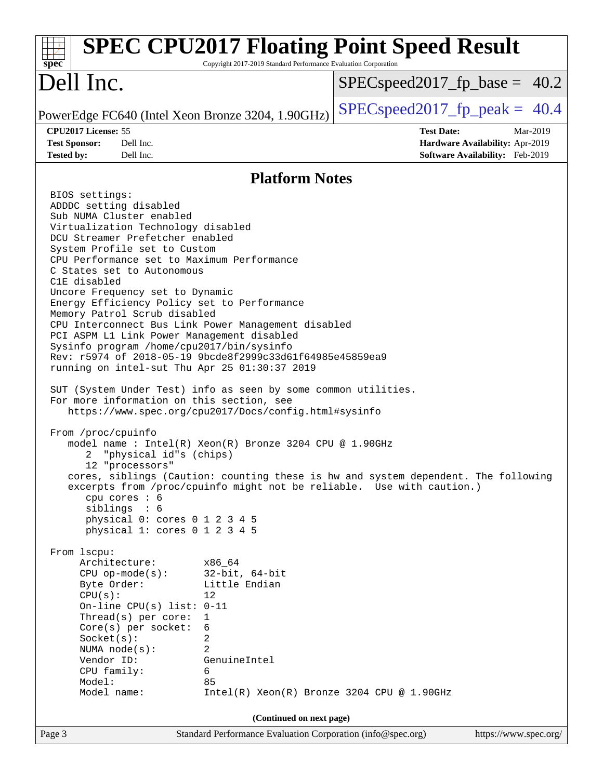| $spec^*$                                                                                                                                                                                                                                                                                                                                                                                                                                                                                                                                                                                                                                                                                                                                                                                                                                                                                                                                                                                                                                                                                                                                                                                                                                                                                                                                                                                                                                                                                          | Copyright 2017-2019 Standard Performance Evaluation Corporation                                                                                                                  | <b>SPEC CPU2017 Floating Point Speed Result</b> |                                                                                |
|---------------------------------------------------------------------------------------------------------------------------------------------------------------------------------------------------------------------------------------------------------------------------------------------------------------------------------------------------------------------------------------------------------------------------------------------------------------------------------------------------------------------------------------------------------------------------------------------------------------------------------------------------------------------------------------------------------------------------------------------------------------------------------------------------------------------------------------------------------------------------------------------------------------------------------------------------------------------------------------------------------------------------------------------------------------------------------------------------------------------------------------------------------------------------------------------------------------------------------------------------------------------------------------------------------------------------------------------------------------------------------------------------------------------------------------------------------------------------------------------------|----------------------------------------------------------------------------------------------------------------------------------------------------------------------------------|-------------------------------------------------|--------------------------------------------------------------------------------|
| Dell Inc.                                                                                                                                                                                                                                                                                                                                                                                                                                                                                                                                                                                                                                                                                                                                                                                                                                                                                                                                                                                                                                                                                                                                                                                                                                                                                                                                                                                                                                                                                         |                                                                                                                                                                                  | $SPEC speed2017_f p\_base = 40.2$               |                                                                                |
| PowerEdge FC640 (Intel Xeon Bronze 3204, 1.90GHz)                                                                                                                                                                                                                                                                                                                                                                                                                                                                                                                                                                                                                                                                                                                                                                                                                                                                                                                                                                                                                                                                                                                                                                                                                                                                                                                                                                                                                                                 |                                                                                                                                                                                  | $SPEC speed2017fp peak = 40.4$                  |                                                                                |
| CPU2017 License: 55<br><b>Test Sponsor:</b><br>Dell Inc.<br>Dell Inc.<br><b>Tested by:</b>                                                                                                                                                                                                                                                                                                                                                                                                                                                                                                                                                                                                                                                                                                                                                                                                                                                                                                                                                                                                                                                                                                                                                                                                                                                                                                                                                                                                        |                                                                                                                                                                                  | <b>Test Date:</b>                               | Mar-2019<br>Hardware Availability: Apr-2019<br>Software Availability: Feb-2019 |
|                                                                                                                                                                                                                                                                                                                                                                                                                                                                                                                                                                                                                                                                                                                                                                                                                                                                                                                                                                                                                                                                                                                                                                                                                                                                                                                                                                                                                                                                                                   | <b>Platform Notes</b>                                                                                                                                                            |                                                 |                                                                                |
| BIOS settings:<br>ADDDC setting disabled<br>Sub NUMA Cluster enabled<br>Virtualization Technology disabled<br>DCU Streamer Prefetcher enabled<br>System Profile set to Custom<br>CPU Performance set to Maximum Performance<br>C States set to Autonomous<br>C1E disabled<br>Uncore Frequency set to Dynamic<br>Energy Efficiency Policy set to Performance<br>Memory Patrol Scrub disabled<br>CPU Interconnect Bus Link Power Management disabled<br>PCI ASPM L1 Link Power Management disabled<br>Sysinfo program /home/cpu2017/bin/sysinfo<br>Rev: r5974 of 2018-05-19 9bcde8f2999c33d61f64985e45859ea9<br>running on intel-sut Thu Apr 25 01:30:37 2019<br>SUT (System Under Test) info as seen by some common utilities.<br>For more information on this section, see<br>https://www.spec.org/cpu2017/Docs/config.html#sysinfo<br>From /proc/cpuinfo<br>model name : Intel(R) Xeon(R) Bronze 3204 CPU @ 1.90GHz<br>"physical id"s (chips)<br>2<br>12 "processors"<br>cores, siblings (Caution: counting these is hw and system dependent. The following<br>excerpts from /proc/cpuinfo might not be reliable. Use with caution.)<br>cpu cores $: 6$<br>siblings : 6<br>physical 0: cores 0 1 2 3 4 5<br>physical 1: cores 0 1 2 3 4 5<br>From 1scpu:<br>Architecture:<br>$CPU$ op-mode( $s$ ):<br>Byte Order:<br>CPU(s):<br>On-line CPU(s) list: $0-11$<br>Thread(s) per core:<br>Core(s) per socket:<br>Socket(s):<br>NUMA $node(s):$<br>Vendor ID:<br>CPU family:<br>Model:<br>Model name: | x86_64<br>$32$ -bit, $64$ -bit<br>Little Endian<br>12<br>1<br>6<br>2<br>2<br>GenuineIntel<br>6<br>85<br>$Intel(R) Xeon(R) Bronze 3204 CPU @ 1.90GHz$<br>(Continued on next page) |                                                 |                                                                                |
| Page 3                                                                                                                                                                                                                                                                                                                                                                                                                                                                                                                                                                                                                                                                                                                                                                                                                                                                                                                                                                                                                                                                                                                                                                                                                                                                                                                                                                                                                                                                                            | Standard Performance Evaluation Corporation (info@spec.org)                                                                                                                      |                                                 | https://www.spec.org/                                                          |
|                                                                                                                                                                                                                                                                                                                                                                                                                                                                                                                                                                                                                                                                                                                                                                                                                                                                                                                                                                                                                                                                                                                                                                                                                                                                                                                                                                                                                                                                                                   |                                                                                                                                                                                  |                                                 |                                                                                |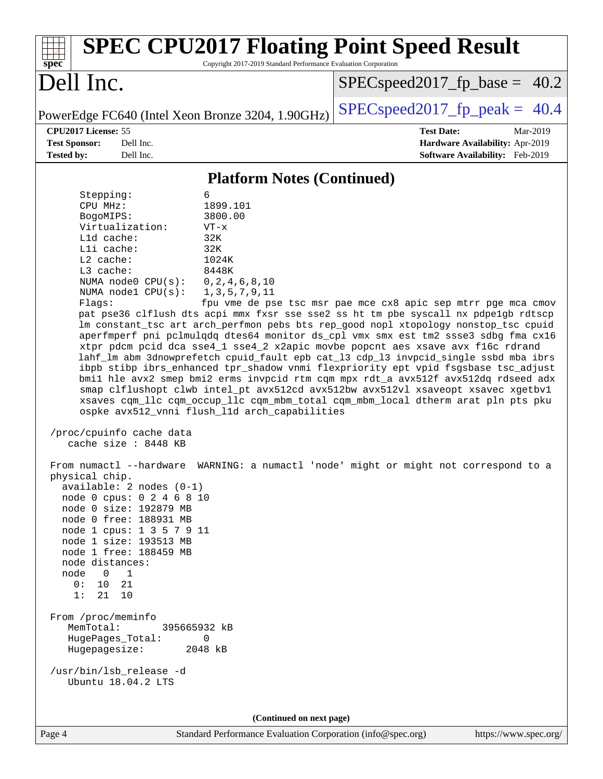| <b>SPEC CPU2017 Floating Point Speed Result</b><br>Copyright 2017-2019 Standard Performance Evaluation Corporation<br>spec <sup>®</sup>                                                                                                                                                                                                                                                                                                                                                                                                                                                                                                                                                                                                                                                                                                                                                                                                                                                                                                                                                                                                                                                                                                                                                                                                                                                                                                                                                                                                                                                                                                                                                                                                                                                                                                                                                                                                        |                                                                  |  |  |  |  |
|------------------------------------------------------------------------------------------------------------------------------------------------------------------------------------------------------------------------------------------------------------------------------------------------------------------------------------------------------------------------------------------------------------------------------------------------------------------------------------------------------------------------------------------------------------------------------------------------------------------------------------------------------------------------------------------------------------------------------------------------------------------------------------------------------------------------------------------------------------------------------------------------------------------------------------------------------------------------------------------------------------------------------------------------------------------------------------------------------------------------------------------------------------------------------------------------------------------------------------------------------------------------------------------------------------------------------------------------------------------------------------------------------------------------------------------------------------------------------------------------------------------------------------------------------------------------------------------------------------------------------------------------------------------------------------------------------------------------------------------------------------------------------------------------------------------------------------------------------------------------------------------------------------------------------------------------|------------------------------------------------------------------|--|--|--|--|
| Dell Inc.                                                                                                                                                                                                                                                                                                                                                                                                                                                                                                                                                                                                                                                                                                                                                                                                                                                                                                                                                                                                                                                                                                                                                                                                                                                                                                                                                                                                                                                                                                                                                                                                                                                                                                                                                                                                                                                                                                                                      | $SPEC speed2017_f p\_base = 40.2$                                |  |  |  |  |
| PowerEdge FC640 (Intel Xeon Bronze 3204, 1.90GHz)                                                                                                                                                                                                                                                                                                                                                                                                                                                                                                                                                                                                                                                                                                                                                                                                                                                                                                                                                                                                                                                                                                                                                                                                                                                                                                                                                                                                                                                                                                                                                                                                                                                                                                                                                                                                                                                                                              | $SPEC speed2017_fp\_peak = 40.4$                                 |  |  |  |  |
| CPU2017 License: 55<br>Dell Inc.<br><b>Test Sponsor:</b>                                                                                                                                                                                                                                                                                                                                                                                                                                                                                                                                                                                                                                                                                                                                                                                                                                                                                                                                                                                                                                                                                                                                                                                                                                                                                                                                                                                                                                                                                                                                                                                                                                                                                                                                                                                                                                                                                       | <b>Test Date:</b><br>Mar-2019<br>Hardware Availability: Apr-2019 |  |  |  |  |
|                                                                                                                                                                                                                                                                                                                                                                                                                                                                                                                                                                                                                                                                                                                                                                                                                                                                                                                                                                                                                                                                                                                                                                                                                                                                                                                                                                                                                                                                                                                                                                                                                                                                                                                                                                                                                                                                                                                                                |                                                                  |  |  |  |  |
|                                                                                                                                                                                                                                                                                                                                                                                                                                                                                                                                                                                                                                                                                                                                                                                                                                                                                                                                                                                                                                                                                                                                                                                                                                                                                                                                                                                                                                                                                                                                                                                                                                                                                                                                                                                                                                                                                                                                                |                                                                  |  |  |  |  |
| Dell Inc.<br>Software Availability: Feb-2019<br><b>Tested by:</b><br><b>Platform Notes (Continued)</b><br>Stepping:<br>6<br>CPU MHz:<br>1899.101<br>3800.00<br>BogoMIPS:<br>Virtualization:<br>$VT - x$<br>$L1d$ cache:<br>32K<br>Lli cache:<br>32K<br>L2 cache:<br>1024K<br>L3 cache:<br>8448K<br>NUMA node0 CPU(s):<br>0, 2, 4, 6, 8, 10<br>NUMA nodel CPU(s):<br>1, 3, 5, 7, 9, 11<br>fpu vme de pse tsc msr pae mce cx8 apic sep mtrr pge mca cmov<br>Flags:<br>pat pse36 clflush dts acpi mmx fxsr sse sse2 ss ht tm pbe syscall nx pdpelgb rdtscp<br>lm constant_tsc art arch_perfmon pebs bts rep_good nopl xtopology nonstop_tsc cpuid<br>aperfmperf pni pclmulqdq dtes64 monitor ds_cpl vmx smx est tm2 ssse3 sdbg fma cx16<br>xtpr pdcm pcid dca sse4_1 sse4_2 x2apic movbe popcnt aes xsave avx f16c rdrand<br>lahf_lm abm 3dnowprefetch cpuid_fault epb cat_13 cdp_13 invpcid_single ssbd mba ibrs<br>ibpb stibp ibrs_enhanced tpr_shadow vnmi flexpriority ept vpid fsgsbase tsc_adjust<br>bmil hle avx2 smep bmi2 erms invpcid rtm cqm mpx rdt_a avx512f avx512dq rdseed adx<br>smap clflushopt clwb intel_pt avx512cd avx512bw avx512vl xsaveopt xsavec xgetbvl<br>xsaves cqm_llc cqm_occup_llc cqm_mbm_total cqm_mbm_local dtherm arat pln pts pku<br>ospke avx512_vnni flush_l1d arch_capabilities<br>/proc/cpuinfo cache data<br>cache size : 8448 KB<br>From numactl --hardware WARNING: a numactl 'node' might or might not correspond to a<br>physical chip.<br>$available: 2 nodes (0-1)$<br>node 0 cpus: 0 2 4 6 8 10<br>node 0 size: 192879 MB<br>node 0 free: 188931 MB<br>node 1 cpus: 1 3 5 7 9 11<br>node 1 size: 193513 MB<br>node 1 free: 188459 MB<br>node distances:<br>$\overline{0}$<br>$\overline{1}$<br>node<br>10<br>21<br>0 :<br>1:<br>21<br>10<br>From /proc/meminfo<br>MemTotal:<br>395665932 kB<br>HugePages_Total:<br>0<br>Hugepagesize:<br>2048 kB<br>/usr/bin/lsb_release -d<br>Ubuntu 18.04.2 LTS |                                                                  |  |  |  |  |
| (Continued on next page)                                                                                                                                                                                                                                                                                                                                                                                                                                                                                                                                                                                                                                                                                                                                                                                                                                                                                                                                                                                                                                                                                                                                                                                                                                                                                                                                                                                                                                                                                                                                                                                                                                                                                                                                                                                                                                                                                                                       |                                                                  |  |  |  |  |
| Standard Performance Evaluation Corporation (info@spec.org)<br>Page 4                                                                                                                                                                                                                                                                                                                                                                                                                                                                                                                                                                                                                                                                                                                                                                                                                                                                                                                                                                                                                                                                                                                                                                                                                                                                                                                                                                                                                                                                                                                                                                                                                                                                                                                                                                                                                                                                          | https://www.spec.org/                                            |  |  |  |  |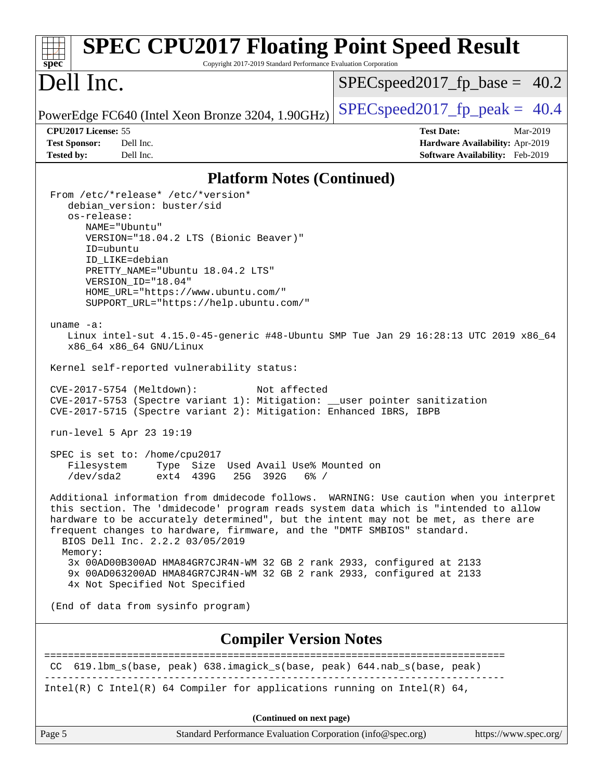| <b>SPEC CPU2017 Floating Point Speed Result</b><br>spec <sup>®</sup><br>Copyright 2017-2019 Standard Performance Evaluation Corporation                                                                                                                                                                                                                                                                                                                                                                                                                                                                                                                                                                                                                                                                                                                                                                                                                                                                                                                                                                                                                                                                                                                                                                                                                                                                                                                                                              |                                                                           |  |  |  |  |
|------------------------------------------------------------------------------------------------------------------------------------------------------------------------------------------------------------------------------------------------------------------------------------------------------------------------------------------------------------------------------------------------------------------------------------------------------------------------------------------------------------------------------------------------------------------------------------------------------------------------------------------------------------------------------------------------------------------------------------------------------------------------------------------------------------------------------------------------------------------------------------------------------------------------------------------------------------------------------------------------------------------------------------------------------------------------------------------------------------------------------------------------------------------------------------------------------------------------------------------------------------------------------------------------------------------------------------------------------------------------------------------------------------------------------------------------------------------------------------------------------|---------------------------------------------------------------------------|--|--|--|--|
| Dell Inc.                                                                                                                                                                                                                                                                                                                                                                                                                                                                                                                                                                                                                                                                                                                                                                                                                                                                                                                                                                                                                                                                                                                                                                                                                                                                                                                                                                                                                                                                                            | $SPEC speed2017_f p\_base = 40.2$                                         |  |  |  |  |
| PowerEdge FC640 (Intel Xeon Bronze 3204, 1.90GHz)                                                                                                                                                                                                                                                                                                                                                                                                                                                                                                                                                                                                                                                                                                                                                                                                                                                                                                                                                                                                                                                                                                                                                                                                                                                                                                                                                                                                                                                    | $SPEC speed2017fp peak = 40.4$                                            |  |  |  |  |
| CPU2017 License: 55                                                                                                                                                                                                                                                                                                                                                                                                                                                                                                                                                                                                                                                                                                                                                                                                                                                                                                                                                                                                                                                                                                                                                                                                                                                                                                                                                                                                                                                                                  | <b>Test Date:</b><br>Mar-2019                                             |  |  |  |  |
| <b>Test Sponsor:</b><br>Dell Inc.<br><b>Tested by:</b><br>Dell Inc.                                                                                                                                                                                                                                                                                                                                                                                                                                                                                                                                                                                                                                                                                                                                                                                                                                                                                                                                                                                                                                                                                                                                                                                                                                                                                                                                                                                                                                  | <b>Hardware Availability: Apr-2019</b><br>Software Availability: Feb-2019 |  |  |  |  |
| <b>Platform Notes (Continued)</b>                                                                                                                                                                                                                                                                                                                                                                                                                                                                                                                                                                                                                                                                                                                                                                                                                                                                                                                                                                                                                                                                                                                                                                                                                                                                                                                                                                                                                                                                    |                                                                           |  |  |  |  |
| From /etc/*release* /etc/*version*<br>debian_version: buster/sid<br>os-release:<br>NAME="Ubuntu"<br>VERSION="18.04.2 LTS (Bionic Beaver)"<br>ID=ubuntu<br>ID LIKE=debian<br>PRETTY_NAME="Ubuntu 18.04.2 LTS"<br>VERSION_ID="18.04"<br>HOME_URL="https://www.ubuntu.com/"<br>SUPPORT_URL="https://help.ubuntu.com/"<br>uname $-a$ :<br>Linux intel-sut 4.15.0-45-generic #48-Ubuntu SMP Tue Jan 29 16:28:13 UTC 2019 x86_64<br>x86_64 x86_64 GNU/Linux<br>Kernel self-reported vulnerability status:<br>CVE-2017-5754 (Meltdown):<br>Not affected<br>CVE-2017-5753 (Spectre variant 1): Mitigation: __user pointer sanitization<br>CVE-2017-5715 (Spectre variant 2): Mitigation: Enhanced IBRS, IBPB<br>run-level 5 Apr 23 19:19<br>SPEC is set to: /home/cpu2017<br>Type Size Used Avail Use% Mounted on<br>Filesystem<br>/dev/sda2<br>ext4 439G<br>25G 392G<br>$6\%$ /<br>Additional information from dmidecode follows. WARNING: Use caution when you interpret<br>this section. The 'dmidecode' program reads system data which is "intended to allow<br>hardware to be accurately determined", but the intent may not be met, as there are<br>frequent changes to hardware, firmware, and the "DMTF SMBIOS" standard.<br>BIOS Dell Inc. 2.2.2 03/05/2019<br>Memory:<br>3x 00AD00B300AD HMA84GR7CJR4N-WM 32 GB 2 rank 2933, configured at 2133<br>9x 00AD063200AD HMA84GR7CJR4N-WM 32 GB 2 rank 2933, configured at 2133<br>4x Not Specified Not Specified<br>(End of data from sysinfo program) |                                                                           |  |  |  |  |
| <b>Compiler Version Notes</b>                                                                                                                                                                                                                                                                                                                                                                                                                                                                                                                                                                                                                                                                                                                                                                                                                                                                                                                                                                                                                                                                                                                                                                                                                                                                                                                                                                                                                                                                        |                                                                           |  |  |  |  |
| CC 619.1bm_s(base, peak) 638.imagick_s(base, peak) 644.nab_s(base, peak)                                                                                                                                                                                                                                                                                                                                                                                                                                                                                                                                                                                                                                                                                                                                                                                                                                                                                                                                                                                                                                                                                                                                                                                                                                                                                                                                                                                                                             |                                                                           |  |  |  |  |
| Intel(R) C Intel(R) 64 Compiler for applications running on Intel(R) 64,                                                                                                                                                                                                                                                                                                                                                                                                                                                                                                                                                                                                                                                                                                                                                                                                                                                                                                                                                                                                                                                                                                                                                                                                                                                                                                                                                                                                                             |                                                                           |  |  |  |  |
| (Continued on next page)                                                                                                                                                                                                                                                                                                                                                                                                                                                                                                                                                                                                                                                                                                                                                                                                                                                                                                                                                                                                                                                                                                                                                                                                                                                                                                                                                                                                                                                                             |                                                                           |  |  |  |  |

Page 5 Standard Performance Evaluation Corporation [\(info@spec.org\)](mailto:info@spec.org) <https://www.spec.org/>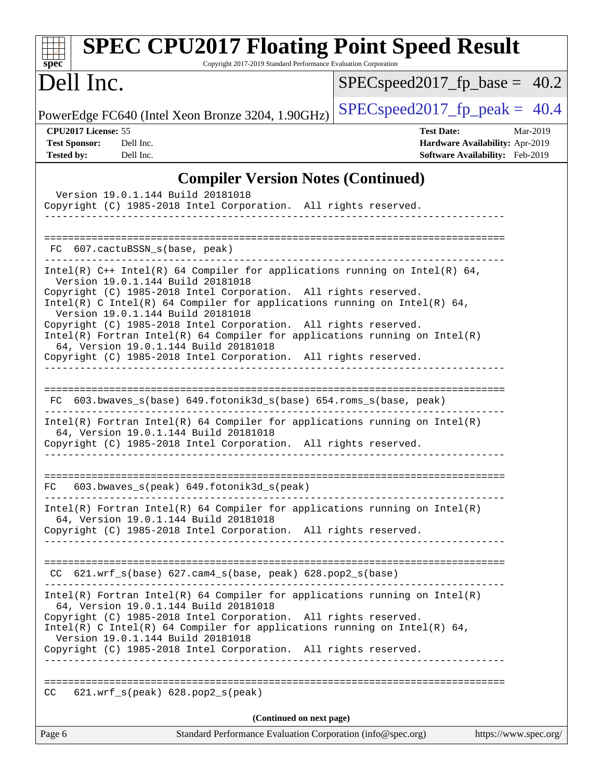| <b>SPEC CPU2017 Floating Point Speed Result</b><br>Copyright 2017-2019 Standard Performance Evaluation Corporation<br>spec <sup>®</sup>                                                                                                                                                                                                                                                                                                                                                                                                                              |                                                                                                     |
|----------------------------------------------------------------------------------------------------------------------------------------------------------------------------------------------------------------------------------------------------------------------------------------------------------------------------------------------------------------------------------------------------------------------------------------------------------------------------------------------------------------------------------------------------------------------|-----------------------------------------------------------------------------------------------------|
| Dell Inc.                                                                                                                                                                                                                                                                                                                                                                                                                                                                                                                                                            | $SPEC speed2017_f p\_base = 40.2$                                                                   |
| PowerEdge FC640 (Intel Xeon Bronze 3204, 1.90GHz)                                                                                                                                                                                                                                                                                                                                                                                                                                                                                                                    | $SPEC speed2017fp peak = 40.4$                                                                      |
| CPU2017 License: 55<br><b>Test Sponsor:</b><br>Dell Inc.<br><b>Tested by:</b><br>Dell Inc.                                                                                                                                                                                                                                                                                                                                                                                                                                                                           | <b>Test Date:</b><br>Mar-2019<br>Hardware Availability: Apr-2019<br>Software Availability: Feb-2019 |
| <b>Compiler Version Notes (Continued)</b>                                                                                                                                                                                                                                                                                                                                                                                                                                                                                                                            |                                                                                                     |
| Version 19.0.1.144 Build 20181018<br>Copyright (C) 1985-2018 Intel Corporation. All rights reserved.                                                                                                                                                                                                                                                                                                                                                                                                                                                                 |                                                                                                     |
| 607.cactuBSSN_s(base, peak)<br>FC.                                                                                                                                                                                                                                                                                                                                                                                                                                                                                                                                   |                                                                                                     |
| Intel(R) $C++$ Intel(R) 64 Compiler for applications running on Intel(R) 64,<br>Version 19.0.1.144 Build 20181018<br>Copyright (C) 1985-2018 Intel Corporation. All rights reserved.<br>Intel(R) C Intel(R) 64 Compiler for applications running on Intel(R) 64,<br>Version 19.0.1.144 Build 20181018<br>Copyright (C) 1985-2018 Intel Corporation. All rights reserved.<br>$Intel(R)$ Fortran Intel(R) 64 Compiler for applications running on Intel(R)<br>64, Version 19.0.1.144 Build 20181018<br>Copyright (C) 1985-2018 Intel Corporation. All rights reserved. |                                                                                                     |
| FC 603.bwaves_s(base) 649.fotonik3d_s(base) 654.roms_s(base, peak)<br>$Intel(R)$ Fortran Intel(R) 64 Compiler for applications running on Intel(R)<br>64, Version 19.0.1.144 Build 20181018<br>Copyright (C) 1985-2018 Intel Corporation. All rights reserved.                                                                                                                                                                                                                                                                                                       |                                                                                                     |
| 603.bwaves_s(peak) 649.fotonik3d_s(peak)<br>FC<br>$Intel(R)$ Fortran Intel(R) 64 Compiler for applications running on Intel(R)<br>64, Version 19.0.1.144 Build 20181018<br>Copyright (C) 1985-2018 Intel Corporation. All rights reserved.<br>---------------                                                                                                                                                                                                                                                                                                        |                                                                                                     |
| CC 621.wrf_s(base) 627.cam4_s(base, peak) 628.pop2_s(base)<br>$Intel(R)$ Fortran Intel(R) 64 Compiler for applications running on Intel(R)<br>64, Version 19.0.1.144 Build 20181018                                                                                                                                                                                                                                                                                                                                                                                  |                                                                                                     |
| Copyright (C) 1985-2018 Intel Corporation. All rights reserved.<br>Intel(R) C Intel(R) 64 Compiler for applications running on Intel(R) 64,<br>Version 19.0.1.144 Build 20181018<br>Copyright (C) 1985-2018 Intel Corporation. All rights reserved.<br>__________________________________                                                                                                                                                                                                                                                                            |                                                                                                     |
| 621.wrf_s(peak) 628.pop2_s(peak)<br>CC.                                                                                                                                                                                                                                                                                                                                                                                                                                                                                                                              |                                                                                                     |
| (Continued on next page)                                                                                                                                                                                                                                                                                                                                                                                                                                                                                                                                             |                                                                                                     |
| Page 6<br>Standard Performance Evaluation Corporation (info@spec.org)                                                                                                                                                                                                                                                                                                                                                                                                                                                                                                | https://www.spec.org/                                                                               |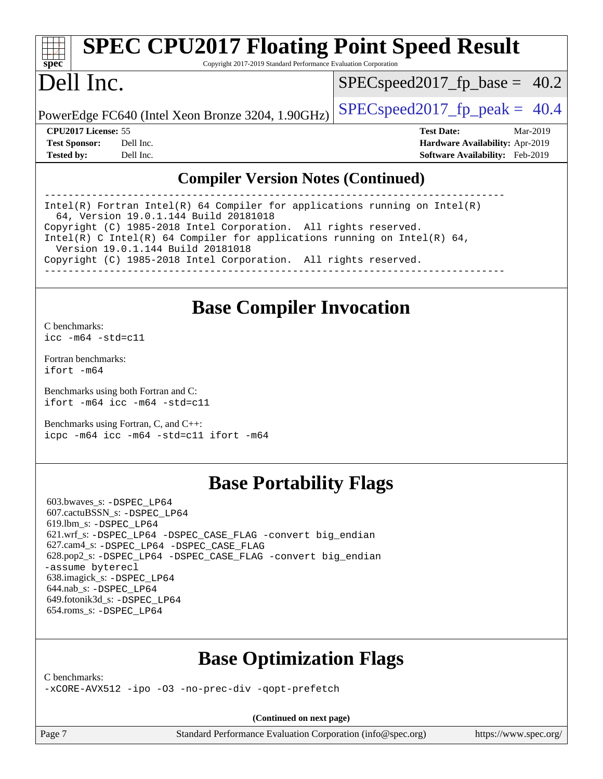#### **[spec](http://www.spec.org/) [SPEC CPU2017 Floating Point Speed Result](http://www.spec.org/auto/cpu2017/Docs/result-fields.html#SPECCPU2017FloatingPointSpeedResult)** Copyright 2017-2019 Standard Performance Evaluation Corporation Dell Inc. PowerEdge FC640 (Intel Xeon Bronze 3204, 1.90GHz)  $\left|$  [SPECspeed2017\\_fp\\_peak =](http://www.spec.org/auto/cpu2017/Docs/result-fields.html#SPECspeed2017fppeak) 40.4  $SPECspeed2017_fp\_base = 40.2$ **[CPU2017 License:](http://www.spec.org/auto/cpu2017/Docs/result-fields.html#CPU2017License)** 55 **[Test Date:](http://www.spec.org/auto/cpu2017/Docs/result-fields.html#TestDate)** Mar-2019

**[Test Sponsor:](http://www.spec.org/auto/cpu2017/Docs/result-fields.html#TestSponsor)** Dell Inc. **[Hardware Availability:](http://www.spec.org/auto/cpu2017/Docs/result-fields.html#HardwareAvailability)** Apr-2019 **[Tested by:](http://www.spec.org/auto/cpu2017/Docs/result-fields.html#Testedby)** Dell Inc. **[Software Availability:](http://www.spec.org/auto/cpu2017/Docs/result-fields.html#SoftwareAvailability)** Feb-2019

### **[Compiler Version Notes \(Continued\)](http://www.spec.org/auto/cpu2017/Docs/result-fields.html#CompilerVersionNotes)**

------------------------------------------------------------------------------ Intel(R) Fortran Intel(R) 64 Compiler for applications running on Intel(R) 64, Version 19.0.1.144 Build 20181018 Copyright (C) 1985-2018 Intel Corporation. All rights reserved. Intel(R) C Intel(R) 64 Compiler for applications running on Intel(R)  $64$ , Version 19.0.1.144 Build 20181018 Copyright (C) 1985-2018 Intel Corporation. All rights reserved. ------------------------------------------------------------------------------

## **[Base Compiler Invocation](http://www.spec.org/auto/cpu2017/Docs/result-fields.html#BaseCompilerInvocation)**

[C benchmarks](http://www.spec.org/auto/cpu2017/Docs/result-fields.html#Cbenchmarks): [icc -m64 -std=c11](http://www.spec.org/cpu2017/results/res2019q2/cpu2017-20190527-14572.flags.html#user_CCbase_intel_icc_64bit_c11_33ee0cdaae7deeeab2a9725423ba97205ce30f63b9926c2519791662299b76a0318f32ddfffdc46587804de3178b4f9328c46fa7c2b0cd779d7a61945c91cd35)

[Fortran benchmarks](http://www.spec.org/auto/cpu2017/Docs/result-fields.html#Fortranbenchmarks): [ifort -m64](http://www.spec.org/cpu2017/results/res2019q2/cpu2017-20190527-14572.flags.html#user_FCbase_intel_ifort_64bit_24f2bb282fbaeffd6157abe4f878425411749daecae9a33200eee2bee2fe76f3b89351d69a8130dd5949958ce389cf37ff59a95e7a40d588e8d3a57e0c3fd751)

[Benchmarks using both Fortran and C](http://www.spec.org/auto/cpu2017/Docs/result-fields.html#BenchmarksusingbothFortranandC): [ifort -m64](http://www.spec.org/cpu2017/results/res2019q2/cpu2017-20190527-14572.flags.html#user_CC_FCbase_intel_ifort_64bit_24f2bb282fbaeffd6157abe4f878425411749daecae9a33200eee2bee2fe76f3b89351d69a8130dd5949958ce389cf37ff59a95e7a40d588e8d3a57e0c3fd751) [icc -m64 -std=c11](http://www.spec.org/cpu2017/results/res2019q2/cpu2017-20190527-14572.flags.html#user_CC_FCbase_intel_icc_64bit_c11_33ee0cdaae7deeeab2a9725423ba97205ce30f63b9926c2519791662299b76a0318f32ddfffdc46587804de3178b4f9328c46fa7c2b0cd779d7a61945c91cd35)

[Benchmarks using Fortran, C, and C++:](http://www.spec.org/auto/cpu2017/Docs/result-fields.html#BenchmarksusingFortranCandCXX) [icpc -m64](http://www.spec.org/cpu2017/results/res2019q2/cpu2017-20190527-14572.flags.html#user_CC_CXX_FCbase_intel_icpc_64bit_4ecb2543ae3f1412ef961e0650ca070fec7b7afdcd6ed48761b84423119d1bf6bdf5cad15b44d48e7256388bc77273b966e5eb805aefd121eb22e9299b2ec9d9) [icc -m64 -std=c11](http://www.spec.org/cpu2017/results/res2019q2/cpu2017-20190527-14572.flags.html#user_CC_CXX_FCbase_intel_icc_64bit_c11_33ee0cdaae7deeeab2a9725423ba97205ce30f63b9926c2519791662299b76a0318f32ddfffdc46587804de3178b4f9328c46fa7c2b0cd779d7a61945c91cd35) [ifort -m64](http://www.spec.org/cpu2017/results/res2019q2/cpu2017-20190527-14572.flags.html#user_CC_CXX_FCbase_intel_ifort_64bit_24f2bb282fbaeffd6157abe4f878425411749daecae9a33200eee2bee2fe76f3b89351d69a8130dd5949958ce389cf37ff59a95e7a40d588e8d3a57e0c3fd751)

# **[Base Portability Flags](http://www.spec.org/auto/cpu2017/Docs/result-fields.html#BasePortabilityFlags)**

 603.bwaves\_s: [-DSPEC\\_LP64](http://www.spec.org/cpu2017/results/res2019q2/cpu2017-20190527-14572.flags.html#suite_basePORTABILITY603_bwaves_s_DSPEC_LP64) 607.cactuBSSN\_s: [-DSPEC\\_LP64](http://www.spec.org/cpu2017/results/res2019q2/cpu2017-20190527-14572.flags.html#suite_basePORTABILITY607_cactuBSSN_s_DSPEC_LP64) 619.lbm\_s: [-DSPEC\\_LP64](http://www.spec.org/cpu2017/results/res2019q2/cpu2017-20190527-14572.flags.html#suite_basePORTABILITY619_lbm_s_DSPEC_LP64) 621.wrf\_s: [-DSPEC\\_LP64](http://www.spec.org/cpu2017/results/res2019q2/cpu2017-20190527-14572.flags.html#suite_basePORTABILITY621_wrf_s_DSPEC_LP64) [-DSPEC\\_CASE\\_FLAG](http://www.spec.org/cpu2017/results/res2019q2/cpu2017-20190527-14572.flags.html#b621.wrf_s_baseCPORTABILITY_DSPEC_CASE_FLAG) [-convert big\\_endian](http://www.spec.org/cpu2017/results/res2019q2/cpu2017-20190527-14572.flags.html#user_baseFPORTABILITY621_wrf_s_convert_big_endian_c3194028bc08c63ac5d04de18c48ce6d347e4e562e8892b8bdbdc0214820426deb8554edfa529a3fb25a586e65a3d812c835984020483e7e73212c4d31a38223) 627.cam4\_s: [-DSPEC\\_LP64](http://www.spec.org/cpu2017/results/res2019q2/cpu2017-20190527-14572.flags.html#suite_basePORTABILITY627_cam4_s_DSPEC_LP64) [-DSPEC\\_CASE\\_FLAG](http://www.spec.org/cpu2017/results/res2019q2/cpu2017-20190527-14572.flags.html#b627.cam4_s_baseCPORTABILITY_DSPEC_CASE_FLAG) 628.pop2\_s: [-DSPEC\\_LP64](http://www.spec.org/cpu2017/results/res2019q2/cpu2017-20190527-14572.flags.html#suite_basePORTABILITY628_pop2_s_DSPEC_LP64) [-DSPEC\\_CASE\\_FLAG](http://www.spec.org/cpu2017/results/res2019q2/cpu2017-20190527-14572.flags.html#b628.pop2_s_baseCPORTABILITY_DSPEC_CASE_FLAG) [-convert big\\_endian](http://www.spec.org/cpu2017/results/res2019q2/cpu2017-20190527-14572.flags.html#user_baseFPORTABILITY628_pop2_s_convert_big_endian_c3194028bc08c63ac5d04de18c48ce6d347e4e562e8892b8bdbdc0214820426deb8554edfa529a3fb25a586e65a3d812c835984020483e7e73212c4d31a38223) [-assume byterecl](http://www.spec.org/cpu2017/results/res2019q2/cpu2017-20190527-14572.flags.html#user_baseFPORTABILITY628_pop2_s_assume_byterecl_7e47d18b9513cf18525430bbf0f2177aa9bf368bc7a059c09b2c06a34b53bd3447c950d3f8d6c70e3faf3a05c8557d66a5798b567902e8849adc142926523472) 638.imagick\_s: [-DSPEC\\_LP64](http://www.spec.org/cpu2017/results/res2019q2/cpu2017-20190527-14572.flags.html#suite_basePORTABILITY638_imagick_s_DSPEC_LP64) 644.nab\_s: [-DSPEC\\_LP64](http://www.spec.org/cpu2017/results/res2019q2/cpu2017-20190527-14572.flags.html#suite_basePORTABILITY644_nab_s_DSPEC_LP64) 649.fotonik3d\_s: [-DSPEC\\_LP64](http://www.spec.org/cpu2017/results/res2019q2/cpu2017-20190527-14572.flags.html#suite_basePORTABILITY649_fotonik3d_s_DSPEC_LP64) 654.roms\_s: [-DSPEC\\_LP64](http://www.spec.org/cpu2017/results/res2019q2/cpu2017-20190527-14572.flags.html#suite_basePORTABILITY654_roms_s_DSPEC_LP64)

# **[Base Optimization Flags](http://www.spec.org/auto/cpu2017/Docs/result-fields.html#BaseOptimizationFlags)**

[C benchmarks](http://www.spec.org/auto/cpu2017/Docs/result-fields.html#Cbenchmarks):

[-xCORE-AVX512](http://www.spec.org/cpu2017/results/res2019q2/cpu2017-20190527-14572.flags.html#user_CCbase_f-xCORE-AVX512) [-ipo](http://www.spec.org/cpu2017/results/res2019q2/cpu2017-20190527-14572.flags.html#user_CCbase_f-ipo) -03 [-no-prec-div](http://www.spec.org/cpu2017/results/res2019q2/cpu2017-20190527-14572.flags.html#user_CCbase_f-no-prec-div) [-qopt-prefetch](http://www.spec.org/cpu2017/results/res2019q2/cpu2017-20190527-14572.flags.html#user_CCbase_f-qopt-prefetch)

**(Continued on next page)**

Page 7 Standard Performance Evaluation Corporation [\(info@spec.org\)](mailto:info@spec.org) <https://www.spec.org/>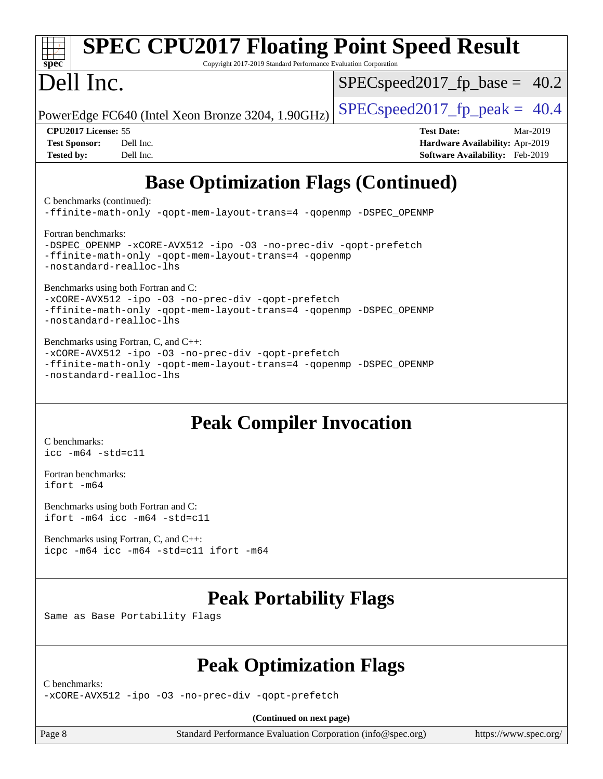| <b>SPEC CPU2017 Floating Point Speed Result</b><br>Copyright 2017-2019 Standard Performance Evaluation Corporation<br>spec <sup>®</sup>                                                                                                                                                                                                                                                                                                                                                                                                                                                                                   |                                                                                                     |  |  |  |  |
|---------------------------------------------------------------------------------------------------------------------------------------------------------------------------------------------------------------------------------------------------------------------------------------------------------------------------------------------------------------------------------------------------------------------------------------------------------------------------------------------------------------------------------------------------------------------------------------------------------------------------|-----------------------------------------------------------------------------------------------------|--|--|--|--|
| Dell Inc.                                                                                                                                                                                                                                                                                                                                                                                                                                                                                                                                                                                                                 | $SPEC speed2017_f p\_base = 40.2$                                                                   |  |  |  |  |
| PowerEdge FC640 (Intel Xeon Bronze 3204, 1.90GHz)                                                                                                                                                                                                                                                                                                                                                                                                                                                                                                                                                                         | $SPEC speed2017fp peak = 40.4$                                                                      |  |  |  |  |
| CPU2017 License: 55<br>Dell Inc.<br><b>Test Sponsor:</b><br>Dell Inc.<br><b>Tested by:</b>                                                                                                                                                                                                                                                                                                                                                                                                                                                                                                                                | <b>Test Date:</b><br>Mar-2019<br>Hardware Availability: Apr-2019<br>Software Availability: Feb-2019 |  |  |  |  |
| <b>Base Optimization Flags (Continued)</b><br>C benchmarks (continued):<br>-ffinite-math-only -qopt-mem-layout-trans=4 -qopenmp -DSPEC_OPENMP<br>Fortran benchmarks:<br>-DSPEC_OPENMP -xCORE-AVX512 -ipo -03 -no-prec-div -qopt-prefetch<br>-ffinite-math-only -qopt-mem-layout-trans=4 -qopenmp<br>-nostandard-realloc-lhs<br>Benchmarks using both Fortran and C:<br>-xCORE-AVX512 -ipo -03 -no-prec-div -qopt-prefetch<br>-ffinite-math-only -qopt-mem-layout-trans=4 -qopenmp -DSPEC_OPENMP<br>-nostandard-realloc-lhs<br>Benchmarks using Fortran, C, and C++:<br>-xCORE-AVX512 -ipo -03 -no-prec-div -qopt-prefetch |                                                                                                     |  |  |  |  |
| <b>Peak Compiler Invocation</b><br>C benchmarks:<br>$\text{icc -m64 -std=c11}$<br>Fortran benchmarks:                                                                                                                                                                                                                                                                                                                                                                                                                                                                                                                     |                                                                                                     |  |  |  |  |
| ifort -m64<br>Benchmarks using both Fortran and C:<br>ifort -m64 icc -m64 -std=c11<br>Benchmarks using Fortran, C, and C++:<br>icpc -m64 icc -m64 -std=c11 ifort -m64                                                                                                                                                                                                                                                                                                                                                                                                                                                     |                                                                                                     |  |  |  |  |
| <b>Peak Portability Flags</b><br>Same as Base Portability Flags                                                                                                                                                                                                                                                                                                                                                                                                                                                                                                                                                           |                                                                                                     |  |  |  |  |
| <b>Peak Optimization Flags</b>                                                                                                                                                                                                                                                                                                                                                                                                                                                                                                                                                                                            |                                                                                                     |  |  |  |  |
| C benchmarks:<br>-xCORE-AVX512 -ipo -03 -no-prec-div -qopt-prefetch                                                                                                                                                                                                                                                                                                                                                                                                                                                                                                                                                       |                                                                                                     |  |  |  |  |
| (Continued on next page)                                                                                                                                                                                                                                                                                                                                                                                                                                                                                                                                                                                                  |                                                                                                     |  |  |  |  |

Page 8 Standard Performance Evaluation Corporation [\(info@spec.org\)](mailto:info@spec.org) <https://www.spec.org/>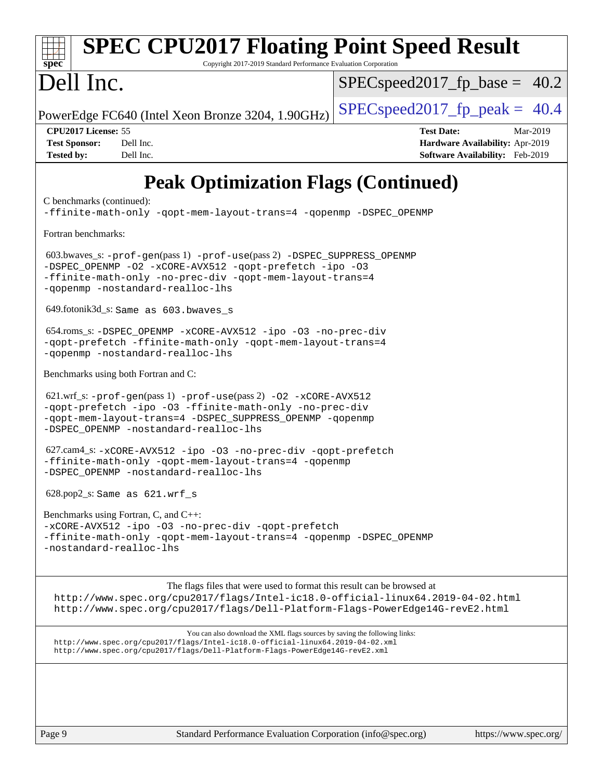| <b>SPEC CPU2017 Floating Point Speed Result</b><br>Copyright 2017-2019 Standard Performance Evaluation Corporation<br>$spec^*$                                                                                                               |                                                                                                     |  |  |  |
|----------------------------------------------------------------------------------------------------------------------------------------------------------------------------------------------------------------------------------------------|-----------------------------------------------------------------------------------------------------|--|--|--|
| Dell Inc.                                                                                                                                                                                                                                    | $SPEC speed2017_f p\_base = 40.2$                                                                   |  |  |  |
| PowerEdge FC640 (Intel Xeon Bronze 3204, 1.90GHz)                                                                                                                                                                                            | $SPEC speed2017_fp\_peak = 40.4$                                                                    |  |  |  |
| CPU2017 License: 55<br><b>Test Sponsor:</b><br>Dell Inc.<br>Dell Inc.<br><b>Tested by:</b>                                                                                                                                                   | <b>Test Date:</b><br>Mar-2019<br>Hardware Availability: Apr-2019<br>Software Availability: Feb-2019 |  |  |  |
| <b>Peak Optimization Flags (Continued)</b>                                                                                                                                                                                                   |                                                                                                     |  |  |  |
| C benchmarks (continued):<br>-ffinite-math-only -qopt-mem-layout-trans=4 -qopenmp -DSPEC_OPENMP                                                                                                                                              |                                                                                                     |  |  |  |
| Fortran benchmarks:                                                                                                                                                                                                                          |                                                                                                     |  |  |  |
| 603.bwaves_s: -prof-gen(pass 1) -prof-use(pass 2) -DSPEC_SUPPRESS_OPENMP<br>-DSPEC OPENMP -02 -xCORE-AVX512 -qopt-prefetch -ipo -03<br>-ffinite-math-only -no-prec-div -qopt-mem-layout-trans=4<br>-gopenmp -nostandard-realloc-lhs          |                                                                                                     |  |  |  |
| 649.fotonik3d_s: Same as 603.bwaves_s                                                                                                                                                                                                        |                                                                                                     |  |  |  |
| 654.roms_s: -DSPEC_OPENMP -xCORE-AVX512 -ipo -03 -no-prec-div<br>-qopt-prefetch -ffinite-math-only -qopt-mem-layout-trans=4<br>-qopenmp -nostandard-realloc-lhs                                                                              |                                                                                                     |  |  |  |
| Benchmarks using both Fortran and C:                                                                                                                                                                                                         |                                                                                                     |  |  |  |
| $621.wrf$ s: $-prof-gen(pass 1)$ $-prof-use(pass 2)$ $-02$ $-xCORE-AVX512$<br>-qopt-prefetch -ipo -03 -ffinite-math-only -no-prec-div<br>-gopt-mem-layout-trans=4 -DSPEC_SUPPRESS_OPENMP -gopenmp<br>-DSPEC_OPENMP -nostandard-realloc-lhs   |                                                                                                     |  |  |  |
| 627.cam4_s: -xCORE-AVX512 -ipo -03 -no-prec-div -qopt-prefetch<br>-ffinite-math-only -qopt-mem-layout-trans=4 -qopenmp<br>-DSPEC OPENMP -nostandard-realloc-lhs                                                                              |                                                                                                     |  |  |  |
| $628.pop2_s: Same as 621.wrf_s$                                                                                                                                                                                                              |                                                                                                     |  |  |  |
| Benchmarks using Fortran, C, and C++:<br>-xCORE-AVX512 -ipo -03 -no-prec-div -qopt-prefetch<br>-ffinite-math-only -qopt-mem-layout-trans=4 -qopenmp -DSPEC_OPENMP<br>-nostandard-realloc-lhs                                                 |                                                                                                     |  |  |  |
|                                                                                                                                                                                                                                              |                                                                                                     |  |  |  |
| The flags files that were used to format this result can be browsed at<br>http://www.spec.org/cpu2017/flags/Intel-ic18.0-official-linux64.2019-04-02.html<br>http://www.spec.org/cpu2017/flags/Dell-Platform-Flags-PowerEdge14G-revE2.html   |                                                                                                     |  |  |  |
| You can also download the XML flags sources by saving the following links:<br>http://www.spec.org/cpu2017/flags/Intel-ic18.0-official-linux64.2019-04-02.xml<br>http://www.spec.org/cpu2017/flags/Dell-Platform-Flags-PowerEdge14G-revE2.xml |                                                                                                     |  |  |  |
|                                                                                                                                                                                                                                              |                                                                                                     |  |  |  |